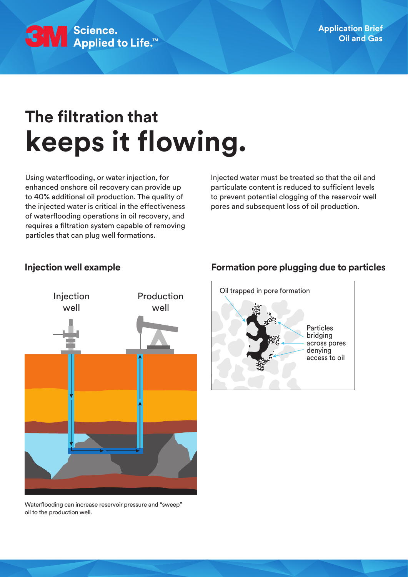

# **The filtration that keeps it flowing.**

Using waterflooding, or water injection, for enhanced onshore oil recovery can provide up to 40% additional oil production. The quality of the injected water is critical in the effectiveness of waterflooding operations in oil recovery, and requires a filtration system capable of removing particles that can plug well formations.

Injected water must be treated so that the oil and particulate content is reduced to sufficient levels to prevent potential clogging of the reservoir well pores and subsequent loss of oil production.



Waterflooding can increase reservoir pressure and "sweep" oil to the production well.

#### **Injection well example Formation pore plugging due to particles**

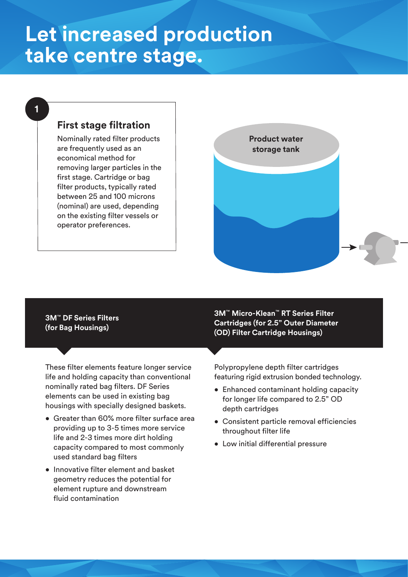# **Let increased production take centre stage.**

#### **1**

### **First stage filtration**

Nominally rated filter products are frequently used as an economical method for removing larger particles in the first stage. Cartridge or bag filter products, typically rated between 25 and 100 microns (nominal) are used, depending on the existing filter vessels or operator preferences.



#### **3M**™ **DF Series Filters (for Bag Housings)**

These filter elements feature longer service life and holding capacity than conventional nominally rated bag filters. DF Series elements can be used in existing bag housings with specially designed baskets.

- Greater than 60% more filter surface area providing up to 3-5 times more service life and 2-3 times more dirt holding capacity compared to most commonly used standard bag filters
- Innovative filter element and basket geometry reduces the potential for element rupture and downstream fluid contamination

**3M**™ **Micro-Klean**™ **RT Series Filter Cartridges (for 2.5" Outer Diameter (OD) Filter Cartridge Housings)** 

Polypropylene depth filter cartridges featuring rigid extrusion bonded technology.

- Enhanced contaminant holding capacity for longer life compared to 2.5" OD depth cartridges
- Consistent particle removal efficiencies throughout filter life
- Low initial differential pressure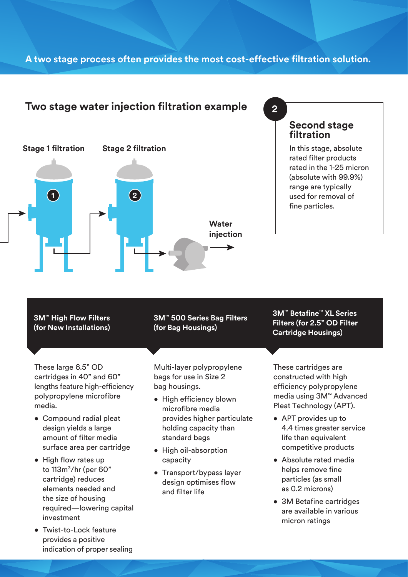#### **A two stage process often provides the most cost-effective filtration solution.**

#### **Two stage water injection filtration example 2**



#### **Second stage filtration**

In this stage, absolute rated filter products rated in the 1-25 micron (absolute with 99.9%) range are typically used for removal of fine particles.

**3M**™ **High Flow Filters (for New Installations)** 

These large 6.5" OD cartridges in 40" and 60" lengths feature high-efficiency polypropylene microfibre media.

- Compound radial pleat design yields a large amount of filter media surface area per cartridge
- High flow rates up to 113m3/hr (per 60" cartridge) reduces elements needed and the size of housing required—lowering capital investment
- Twist-to-Lock feature provides a positive indication of proper sealing

**3M**™ **500 Series Bag Filters (for Bag Housings)**

Multi-layer polypropylene bags for use in Size 2 bag housings.

- High efficiency blown microfibre media provides higher particulate holding capacity than standard bags
- High oil-absorption capacity
- Transport/bypass layer design optimises flow and filter life

These cartridges are constructed with high efficiency polypropylene media using 3M™ Advanced

**3M**™ **Betafine**™ **XL Series Filters (for 2.5" OD Filter Cartridge Housings)** 

• APT provides up to 4.4 times greater service life than equivalent competitive products

Pleat Technology (APT).

- Absolute rated media helps remove fine particles (as small as 0.2 microns)
- 3M Betafine cartridges are available in various micron ratings